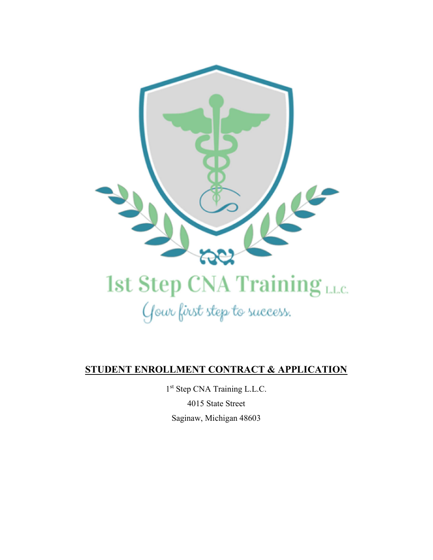

Gour first step to success.

## STUDENT ENROLLMENT CONTRACT & APPLICATION

1 st Step CNA Training L.L.C. 4015 State Street

Saginaw, Michigan 48603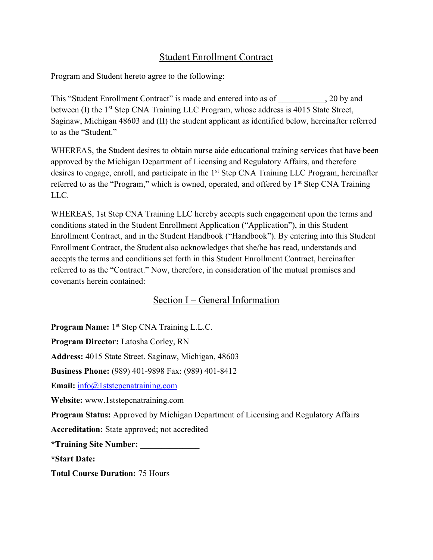## Student Enrollment Contract

Program and Student hereto agree to the following:

This "Student Enrollment Contract" is made and entered into as of  $\qquad \qquad$ , 20 by and between (I) the 1<sup>st</sup> Step CNA Training LLC Program, whose address is 4015 State Street, Saginaw, Michigan 48603 and (II) the student applicant as identified below, hereinafter referred to as the "Student."

WHEREAS, the Student desires to obtain nurse aide educational training services that have been approved by the Michigan Department of Licensing and Regulatory Affairs, and therefore desires to engage, enroll, and participate in the 1<sup>st</sup> Step CNA Training LLC Program, hereinafter referred to as the "Program," which is owned, operated, and offered by  $1<sup>st</sup>$  Step CNA Training LLC.

WHEREAS, 1st Step CNA Training LLC hereby accepts such engagement upon the terms and conditions stated in the Student Enrollment Application ("Application"), in this Student Enrollment Contract, and in the Student Handbook ("Handbook"). By entering into this Student Enrollment Contract, the Student also acknowledges that she/he has read, understands and accepts the terms and conditions set forth in this Student Enrollment Contract, hereinafter referred to as the "Contract." Now, therefore, in consideration of the mutual promises and covenants herein contained:

## Section I – General Information

Program Name: 1<sup>st</sup> Step CNA Training L.L.C.

Program Director: Latosha Corley, RN

Address: 4015 State Street. Saginaw, Michigan, 48603

Business Phone: (989) 401-9898 Fax: (989) 401-8412

Email: info@1ststepcnatraining.com

Website: www.1ststepcnatraining.com

Program Status: Approved by Michigan Department of Licensing and Regulatory Affairs

Accreditation: State approved; not accredited

\*Training Site Number: \_\_\_\_\_\_\_\_\_\_\_\_\_\_

\*Start Date: \_\_\_\_\_\_\_\_\_\_\_\_\_\_\_

Total Course Duration: 75 Hours